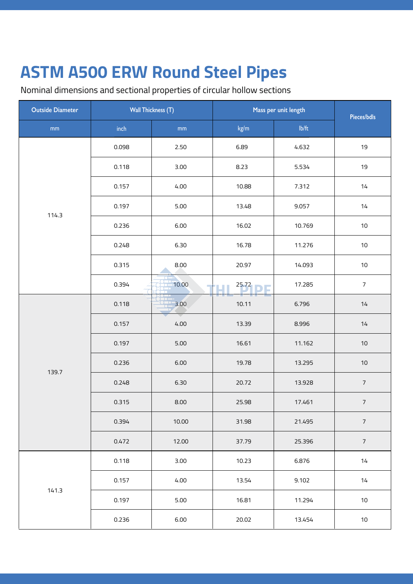| <b>Outside Diameter</b> | <b>Wall Thickness (T)</b> |               | Mass per unit length |        | Pieces/bdls    |
|-------------------------|---------------------------|---------------|----------------------|--------|----------------|
| mm                      | $\mathsf{inch}$           | $\mathsf{mm}$ | kg/m                 | Ib/ft  |                |
|                         | 0.098                     | 2.50          | 6.89                 | 4.632  | 19             |
|                         | 0.118                     | 3.00          | 8.23                 | 5.534  | 19             |
|                         | 0.157                     | 4.00          | 10.88                | 7.312  | $14$           |
| 114.3                   | 0.197                     | 5.00          | 13.48                | 9.057  | 14             |
|                         | 0.236                     | 6.00          | 16.02                | 10.769 | $10\,$         |
|                         | 0.248                     | 6.30          | 16.78                | 11.276 | $10\,$         |
|                         | 0.315                     | 8.00          | 20.97                | 14.093 | $10$           |
|                         | 0.394                     | 10.00         | 25.72                | 17.285 | $\overline{7}$ |
| 139.7                   | 0.118                     | 3.00          | 10.11                | 6.796  | $14$           |
|                         | 0.157                     | 4.00          | 13.39                | 8.996  | 14             |
|                         | 0.197                     | $5.00$        | 16.61                | 11.162 | $10$           |
|                         | 0.236                     | 6.00          | 19.78                | 13.295 | $10$           |
|                         | 0.248                     | 6.30          | 20.72                | 13.928 | $\overline{7}$ |
|                         | 0.315                     | 8.00          | 25.98                | 17.461 | $\overline{7}$ |
|                         | 0.394                     | 10.00         | 31.98                | 21.495 | $\overline{7}$ |
|                         | 0.472                     | 12.00         | 37.79                | 25.396 | $\overline{7}$ |
|                         | 0.118                     | 3.00          | 10.23                | 6.876  | 14             |
| 141.3                   | 0.157                     | 4.00          | 13.54                | 9.102  | $14$           |
|                         | 0.197                     | 5.00          | 16.81                | 11.294 | $10\,$         |
|                         | 0.236                     | 6.00          | 20.02                | 13.454 | $10\,$         |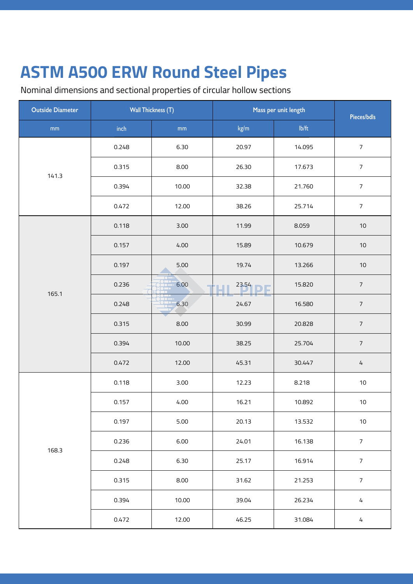| <b>Outside Diameter</b> | <b>Wall Thickness (T)</b> |       | Mass per unit length |        | Pieces/bdls    |
|-------------------------|---------------------------|-------|----------------------|--------|----------------|
| $\mathsf{mm}$           | inch                      | mm    | kg/m                 | Ib/ft  |                |
|                         | 0.248                     | 6.30  | 20.97                | 14.095 | $\overline{7}$ |
|                         | 0.315                     | 8.00  | 26.30                | 17.673 | $\overline{7}$ |
| 141.3                   | 0.394                     | 10.00 | 32.38                | 21.760 | $\sqrt{ }$     |
|                         | 0.472                     | 12.00 | 38.26                | 25.714 | $\overline{7}$ |
|                         | 0.118                     | 3.00  | 11.99                | 8.059  | $10$           |
|                         | 0.157                     | 4.00  | 15.89                | 10.679 | $10$           |
|                         | 0.197                     | 5.00  | 19.74                | 13.266 | $10$           |
| 165.1                   | 0.236                     | 6.00  | 23.54                | 15.820 | $\sqrt{ }$     |
|                         | 0.248                     | 6.30  | 24.67                | 16.580 | $\sqrt{ }$     |
|                         | 0.315                     | 8.00  | 30.99                | 20.828 | $\sqrt{ }$     |
|                         | 0.394                     | 10.00 | 38.25                | 25.704 | $\sqrt{ }$     |
|                         | 0.472                     | 12.00 | 45.31                | 30.447 | $\sqrt{4}$     |
|                         | 0.118                     | 3.00  | 12.23                | 8.218  | $10$           |
|                         | 0.157                     | 4.00  | 16.21                | 10.892 | 10             |
|                         | 0.197                     | 5.00  | 20.13                | 13.532 | $10$           |
| 168.3                   | 0.236                     | 6.00  | 24.01                | 16.138 | $\overline{7}$ |
|                         | 0.248                     | 6.30  | 25.17                | 16.914 | $\overline{7}$ |
|                         | 0.315                     | 8.00  | 31.62                | 21.253 | $\sqrt{ }$     |
|                         | 0.394                     | 10.00 | 39.04                | 26.234 | $\sqrt{4}$     |
|                         | 0.472                     | 12.00 | 46.25                | 31.084 | $\sqrt{4}$     |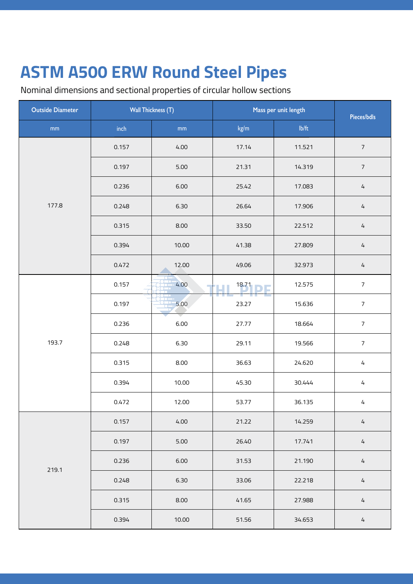| <b>Outside Diameter</b> | <b>Wall Thickness (T)</b> |               | Mass per unit length |        | Pieces/bdls    |
|-------------------------|---------------------------|---------------|----------------------|--------|----------------|
| mm                      | inch                      | $\mathsf{mm}$ | kg/m                 | Ib/ft  |                |
|                         | 0.157                     | 4.00          | 17.14                | 11.521 | $\overline{7}$ |
|                         | 0.197                     | $5.00$        | 21.31                | 14.319 | $\overline{7}$ |
|                         | 0.236                     | 6.00          | 25.42                | 17.083 | $\overline{4}$ |
| 177.8                   | 0.248                     | 6.30          | 26.64                | 17.906 | $\sqrt{4}$     |
|                         | 0.315                     | 8.00          | 33.50                | 22.512 | $\sqrt{4}$     |
|                         | 0.394                     | 10.00         | 41.38                | 27.809 | $\overline{4}$ |
|                         | 0.472                     | 12.00         | 49.06                | 32.973 | $\frac{1}{4}$  |
| 193.7                   | 0.157                     | 4.00          | 18.71                | 12.575 | $\overline{7}$ |
|                         | 0.197                     | 5.00          | 23.27                | 15.636 | $\overline{7}$ |
|                         | 0.236                     | 6.00          | 27.77                | 18.664 | $\overline{7}$ |
|                         | 0.248                     | 6.30          | 29.11                | 19.566 | $\overline{7}$ |
|                         | 0.315                     | 8.00          | 36.63                | 24.620 | $\frac{1}{4}$  |
|                         | 0.394                     | 10.00         | 45.30                | 30.444 | $\frac{1}{4}$  |
|                         | 0.472                     | 12.00         | 53.77                | 36.135 | 4              |
|                         | 0.157                     | 4.00          | 21.22                | 14.259 | $\sqrt{4}$     |
| 219.1                   | 0.197                     | $5.00$        | 26.40                | 17.741 | $\frac{1}{4}$  |
|                         | 0.236                     | 6.00          | 31.53                | 21.190 | $\frac{1}{4}$  |
|                         | 0.248                     | 6.30          | 33.06                | 22.218 | $\overline{4}$ |
|                         | 0.315                     | 8.00          | 41.65                | 27.988 | $\frac{1}{4}$  |
|                         | 0.394                     | 10.00         | 51.56                | 34.653 | $\sqrt{4}$     |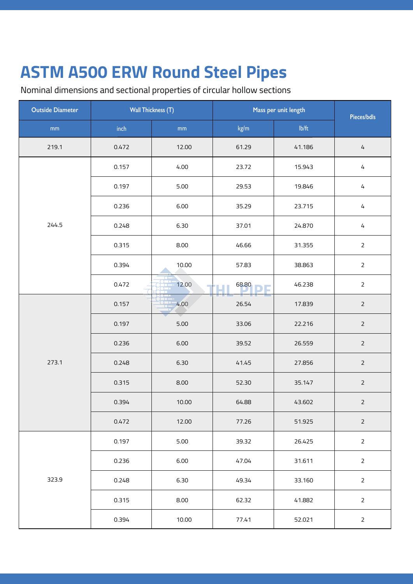| <b>Outside Diameter</b> | <b>Wall Thickness (T)</b> |               | Mass per unit length |        | Pieces/bdls    |
|-------------------------|---------------------------|---------------|----------------------|--------|----------------|
| mm                      | inch                      | $\mathsf{mm}$ | kg/m                 | Ib/ft  |                |
| 219.1                   | 0.472                     | 12.00         | 61.29                | 41.186 | $\overline{4}$ |
|                         | 0.157                     | 4.00          | 23.72                | 15.943 | 4              |
|                         | 0.197                     | 5.00          | 29.53                | 19.846 | 4              |
|                         | 0.236                     | 6.00          | 35.29                | 23.715 | 4              |
| 244.5                   | 0.248                     | 6.30          | 37.01                | 24.870 | $\overline{4}$ |
|                         | 0.315                     | 8.00          | 46.66                | 31.355 | $\overline{2}$ |
|                         | 0.394                     | 10.00         | 57.83                | 38.863 | $\overline{2}$ |
|                         | 0.472                     | 12.00         | 68.80                | 46.238 | $\overline{2}$ |
| 273.1                   | 0.157                     | 4.00          | 26.54                | 17.839 | $\overline{2}$ |
|                         | 0.197                     | 5.00          | 33.06                | 22.216 | $\overline{2}$ |
|                         | 0.236                     | 6.00          | 39.52                | 26.559 | $\overline{2}$ |
|                         | 0.248                     | 6.30          | 41.45                | 27.856 | $\overline{2}$ |
|                         | 0.315                     | 8.00          | 52.30                | 35.147 | $\overline{2}$ |
|                         | 0.394                     | 10.00         | 64.88                | 43.602 | $\overline{2}$ |
|                         | 0.472                     | 12.00         | 77.26                | 51.925 | $\overline{2}$ |
|                         | 0.197                     | 5.00          | 39.32                | 26.425 | $\overline{2}$ |
| 323.9                   | 0.236                     | 6.00          | 47.04                | 31.611 | $\overline{2}$ |
|                         | 0.248                     | 6.30          | 49.34                | 33.160 | $\overline{2}$ |
|                         | 0.315                     | 8.00          | 62.32                | 41.882 | $\overline{2}$ |
|                         | 0.394                     | 10.00         | 77.41                | 52.021 | $\overline{2}$ |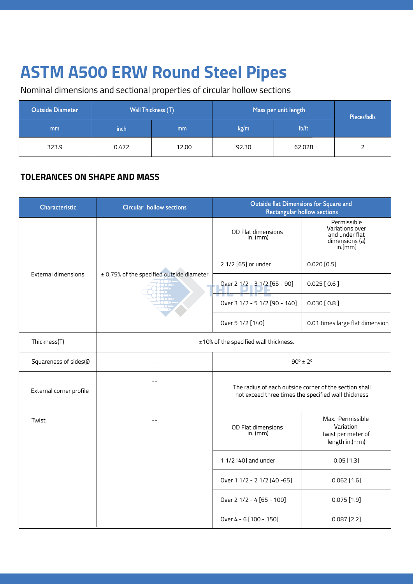Nominal dimensions and sectional properties of circular hollow sections

| <b>Outside Diameter</b> | <b>Wall Thickness (T)</b> |               | Mass per unit length |        | Pieces/bdls |  |
|-------------------------|---------------------------|---------------|----------------------|--------|-------------|--|
| mm                      | inch                      | <sub>mm</sub> | kg/m                 | lb/ft  |             |  |
| 323.9                   | 0.472                     | 12.00         | 92.30                | 62.028 |             |  |

#### **TOLERANCES ON SHAPE AND MASS**

| Characteristic             | <b>Circular hollow sections</b>           |                                                     | Outside flat Dimensions for Square and<br><b>Rectangular hollow sections</b>  |  |  |
|----------------------------|-------------------------------------------|-----------------------------------------------------|-------------------------------------------------------------------------------|--|--|
|                            |                                           | OD Flat dimensions<br>in. $(mm)$                    | Permissible<br>Variations over<br>and under flat<br>dimensions (a)<br>in.[mm] |  |  |
|                            |                                           | 2 1/2 [65] or under                                 | $0.020$ [0.5]                                                                 |  |  |
| <b>External dimensions</b> | ± 0.75% of the specified outside diameter | Over 2 1/2 - 3 1/2 [65 - 90]                        | $0.025$ [0.6]                                                                 |  |  |
|                            |                                           | Over 3 1/2 - 5 1/2 [90 - 140]                       | $0.030$ [ 0.8 ]                                                               |  |  |
|                            |                                           | Over 5 1/2 [140]                                    | 0.01 times large flat dimension                                               |  |  |
| Thickness(T)               | ±10% of the specified wall thickness.     |                                                     |                                                                               |  |  |
| Squareness of sides(Ø      | $90^{\circ} \pm 2^{\circ}$                |                                                     |                                                                               |  |  |
| External corner profile    |                                           | not exceed three times the specified wall thickness | The radius of each outside corner of the section shall                        |  |  |
| Twist                      | $-$                                       | OD Flat dimensions<br>in. $(mm)$                    | Max. Permissible<br>Variation<br>Twist per meter of<br>length in.(mm)         |  |  |
|                            |                                           | 1 1/2 [40] and under                                | $0.05$ [1.3]                                                                  |  |  |
|                            |                                           | Over 1 1/2 - 2 1/2 [40 -65]                         | $0.062$ [1.6]                                                                 |  |  |
|                            |                                           | Over 2 1/2 - 4 [65 - 100]                           | 0.075[1.9]                                                                    |  |  |
|                            |                                           | Over 4 - 6 [100 - 150]                              | $0.087$ [2.2]                                                                 |  |  |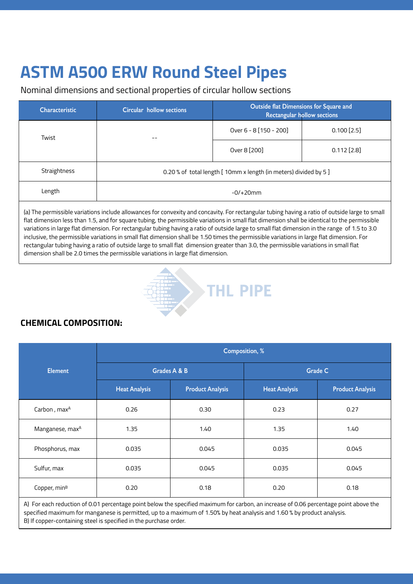Nominal dimensions and sectional properties of circular hollow sections

| Characteristic | Circular hollow sections                                          | <b>Outside flat Dimensions for Square and</b><br><b>Rectangular hollow sections</b> |               |  |
|----------------|-------------------------------------------------------------------|-------------------------------------------------------------------------------------|---------------|--|
| Twist          | $- -$                                                             | Over 6 - 8 [150 - 200]                                                              | $0.100$ [2.5] |  |
|                |                                                                   | Over 8 [200]                                                                        | $0.112$ [2.8] |  |
| Straightness   | 0.20 % of total length [ 10mm x length (in meters) divided by 5 ] |                                                                                     |               |  |
| Length         | $-0/+20mm$                                                        |                                                                                     |               |  |
|                |                                                                   |                                                                                     |               |  |

(a) The permissible variations include allowances for convexity and concavity. For rectangular tubing having a ratio of outside large to small flat dimension less than 1.5, and for square tubing, the permissible variations in small flat dimension shall be identical to the permissible variations in large flat dimension. For rectangular tubing having a ratio of outside large to small flat dimension in the range of 1.5 to 3.0 inclusive, the permissible variations in small flat dimension shall be 1.50 times the permissible variations in large flat dimension. For rectangular tubing having a ratio of outside large to small flat dimension greater than 3.0, the permissible variations in small flat dimension shall be 2.0 times the permissible variations in large flat dimension.



### **CHEMICAL COMPOSITION:**

|                             | <b>Composition, %</b> |                         |                      |                         |  |  |
|-----------------------------|-----------------------|-------------------------|----------------------|-------------------------|--|--|
| <b>Element</b>              |                       | Grades A & B            | <b>Grade C</b>       |                         |  |  |
|                             | <b>Heat Analysis</b>  | <b>Product Analysis</b> | <b>Heat Analysis</b> | <b>Product Analysis</b> |  |  |
| Carbon, max <sup>A</sup>    | 0.26                  | 0.30                    | 0.23                 | 0.27                    |  |  |
| Manganese, max <sup>A</sup> | 1.35                  | 1.40                    | 1.35                 | 1.40                    |  |  |
| Phosphorus, max             | 0.035                 | 0.045                   | 0.035                | 0.045                   |  |  |
| Sulfur, max                 | 0.035                 | 0.045                   | 0.035                | 0.045                   |  |  |
| Copper, min <sup>B</sup>    | 0.20                  | 0.18                    | 0.20                 | 0.18                    |  |  |

A) For each reduction of 0.01 percentage point below the specified maximum for carbon, an increase of 0.06 percentage point above the specified maximum for manganese is permitted, up to a maximum of 1.50% by heat analysis and 1.60 % by product analysis. B) If copper-containing steel is specified in the purchase order.